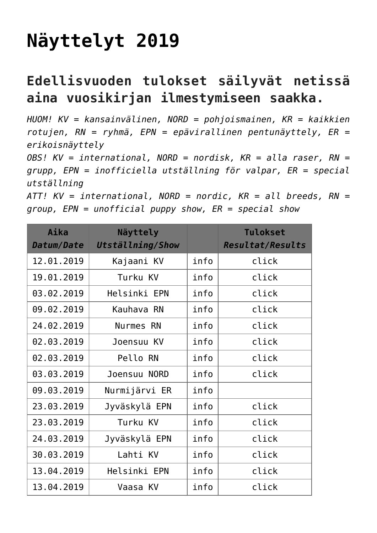## **[Näyttelyt 2019](https://www.cairnterrierikerho.fi/nayttelyt/nayttelyt-2019/)**

## **Edellisvuoden tulokset säilyvät netissä aina vuosikirjan ilmestymiseen saakka.**

*HUOM! KV = kansainvälinen, NORD = pohjoismainen, KR = kaikkien rotujen, RN = ryhmä, EPN = epävirallinen pentunäyttely, ER = erikoisnäyttely*

*OBS! KV = international, NORD = nordisk, KR = alla raser, RN = grupp, EPN = inofficiella utställning för valpar, ER = special utställning*

```
ATT! KV = international, NORD = nordic, KR = all breeds, RN =
group, EPN = unofficial puppy show, ER = special show
```

| Aika<br>Datum/Date | Näyttely<br>Utställning/Show |      | <b>Tulokset</b><br><b>Resultat/Results</b> |
|--------------------|------------------------------|------|--------------------------------------------|
| 12.01.2019         | Kajaani KV                   | info | click                                      |
| 19.01.2019         | Turku KV                     | info | click                                      |
| 03.02.2019         | Helsinki EPN                 | info | click                                      |
| 09.02.2019         | Kauhava RN                   | info | click                                      |
| 24.02.2019         | Nurmes RN                    | info | click                                      |
| 02.03.2019         | Joensuu KV                   | info | click                                      |
| 02.03.2019         | Pello RN                     | info | click                                      |
| 03.03.2019         | Joensuu NORD                 | info | click                                      |
| 09.03.2019         | Nurmijärvi ER                | info |                                            |
| 23.03.2019         | Jyväskylä EPN                | info | click                                      |
| 23.03.2019         | Turku KV                     | info | click                                      |
| 24,03,2019         | Jyväskylä EPN                | info | click                                      |
| 30.03.2019         | Lahti KV                     | info | click                                      |
| 13.04.2019         | Helsinki EPN                 | info | click                                      |
| 13.04.2019         | Vaasa KV                     | info | click                                      |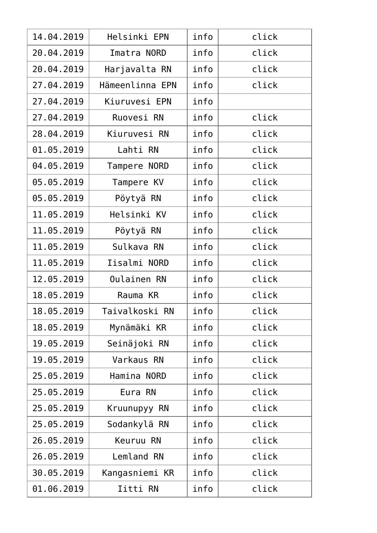| 14.04.2019 | Helsinki EPN    | info | click |
|------------|-----------------|------|-------|
| 20.04.2019 | Imatra NORD     | info | click |
| 20.04.2019 | Harjavalta RN   | info | click |
| 27.04.2019 | Hämeenlinna EPN | info | click |
| 27.04.2019 | Kiuruvesi EPN   | info |       |
| 27.04.2019 | Ruovesi RN      | info | click |
| 28.04.2019 | Kiuruvesi RN    | info | click |
| 01.05.2019 | Lahti RN        | info | click |
| 04.05.2019 | Tampere NORD    | info | click |
| 05.05.2019 | Tampere KV      | info | click |
| 05.05.2019 | Pöytyä RN       | info | click |
| 11.05.2019 | Helsinki KV     | info | click |
| 11.05.2019 | Pöytyä RN       | info | click |
| 11.05.2019 | Sulkava RN      | info | click |
| 11.05.2019 | Iisalmi NORD    | info | click |
| 12.05.2019 | Oulainen RN     | info | click |
| 18.05.2019 | Rauma KR        | info | click |
| 18.05.2019 | Taivalkoski RN  | info | click |
| 18.05.2019 | Mynämäki KR     | info | click |
| 19.05.2019 | Seinäjoki RN    | info | click |
| 19.05.2019 | Varkaus RN      | info | click |
| 25.05.2019 | Hamina NORD     | info | click |
| 25.05.2019 | Eura RN         | info | click |
| 25.05.2019 | Kruunupyy RN    | info | click |
| 25.05.2019 | Sodankylä RN    | info | click |
| 26.05.2019 | Keuruu RN       | info | click |
| 26.05.2019 | Lemland RN      | info | click |
| 30.05.2019 | Kangasniemi KR  | info | click |
| 01.06.2019 | Iitti RN        | info | click |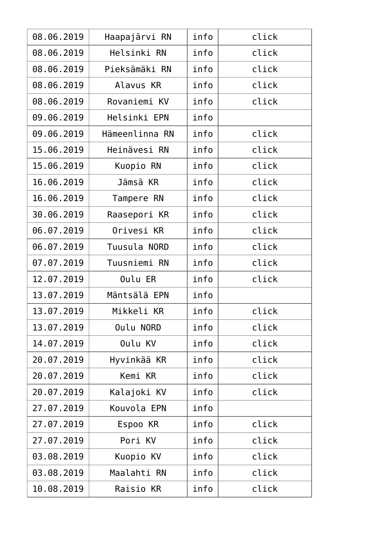| 08.06.2019 | Haapajärvi RN  | info | click |
|------------|----------------|------|-------|
| 08.06.2019 | Helsinki RN    | info | click |
| 08.06.2019 | Pieksämäki RN  | info | click |
| 08.06.2019 | Alavus KR      | info | click |
| 08.06.2019 | Rovaniemi KV   | info | click |
| 09.06.2019 | Helsinki EPN   | info |       |
| 09.06.2019 | Hämeenlinna RN | info | click |
| 15.06.2019 | Heinävesi RN   | info | click |
| 15.06.2019 | Kuopio RN      | info | click |
| 16.06.2019 | Jämsä KR       | info | click |
| 16.06.2019 | Tampere RN     | info | click |
| 30.06.2019 | Raasepori KR   | info | click |
| 06.07.2019 | Orivesi KR     | info | click |
| 06.07.2019 | Tuusula NORD   | info | click |
| 07.07.2019 | Tuusniemi RN   | info | click |
| 12.07.2019 | Oulu ER        | info | click |
| 13.07.2019 | Mäntsälä EPN   | info |       |
| 13.07.2019 | Mikkeli KR     | info | click |
| 13.07.2019 | Oulu NORD      | info | click |
| 14.07.2019 | Oulu KV        | info | click |
| 20.07.2019 | Hyvinkää KR    | info | click |
| 20.07.2019 | Kemi KR        | info | click |
| 20.07.2019 | Kalajoki KV    | info | click |
| 27.07.2019 | Kouvola EPN    | info |       |
| 27.07.2019 | Espoo KR       | info | click |
| 27.07.2019 | Pori KV        | info | click |
| 03.08.2019 | Kuopio KV      | info | click |
| 03.08.2019 | Maalahti RN    | info | click |
| 10.08.2019 | Raisio KR      | info | click |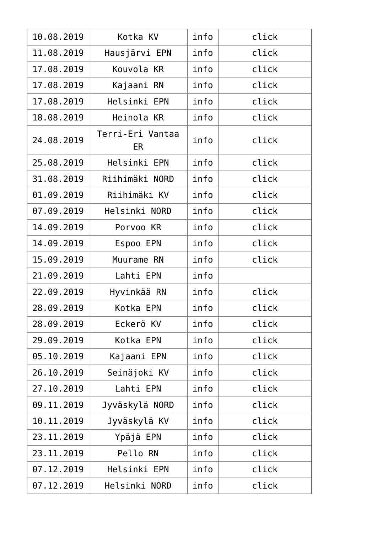| 10.08.2019 | Kotka KV               | info | click |
|------------|------------------------|------|-------|
| 11.08.2019 | Hausjärvi EPN          | info | click |
| 17.08.2019 | Kouvola KR             | info | click |
| 17.08.2019 | Kajaani RN             | info | click |
| 17.08.2019 | Helsinki EPN           | info | click |
| 18.08.2019 | Heinola KR             | info | click |
| 24.08.2019 | Terri-Eri Vantaa<br>ER | info | click |
| 25.08.2019 | Helsinki EPN           | info | click |
| 31.08.2019 | Riihimäki NORD         | info | click |
| 01.09.2019 | Riihimäki KV           | info | click |
| 07.09.2019 | Helsinki NORD          | info | click |
| 14.09.2019 | Porvoo KR              | info | click |
| 14.09.2019 | Espoo EPN              | info | click |
| 15.09.2019 | Muurame RN             | info | click |
| 21.09.2019 | Lahti EPN              | info |       |
| 22.09.2019 | Hyvinkää RN            | info | click |
| 28.09.2019 | Kotka EPN              | info | click |
| 28.09.2019 | Eckerö KV              | info | click |
| 29.09.2019 | Kotka EPN              | info | click |
| 05.10.2019 | Kajaani EPN            | info | click |
| 26.10.2019 | Seinäjoki KV           | info | click |
| 27.10.2019 | Lahti EPN              | info | click |
| 09.11.2019 | Jyväskylä NORD         | info | click |
| 10.11.2019 | Jyväskylä KV           | info | click |
| 23.11.2019 | Ypäjä EPN              | info | click |
| 23.11.2019 | Pello RN               | info | click |
| 07.12.2019 | Helsinki EPN           | info | click |
| 07.12.2019 | Helsinki NORD          | info | click |